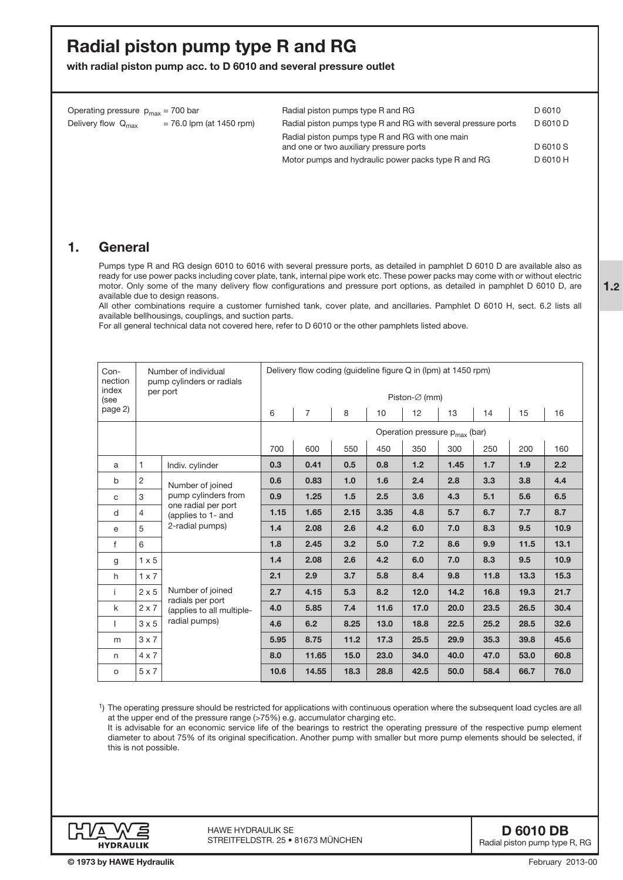# Radial piston pump type R and RG

with radial piston pump acc. to D 6010 and several pressure outlet

| Operating pressure $p_{max} = 700$ bar |                            | Radial piston pumps type R and RG                             | D 6010   |
|----------------------------------------|----------------------------|---------------------------------------------------------------|----------|
| Delivery flow Q <sub>max</sub>         | $= 76.0$ lpm (at 1450 rpm) | Radial piston pumps type R and RG with several pressure ports | D 6010 D |
|                                        |                            | Radial piston pumps type R and RG with one main               |          |
|                                        |                            | and one or two auxiliary pressure ports                       | D 6010 S |
|                                        |                            | Motor pumps and hydraulic power packs type R and RG           | D 6010 H |

## 1. General

Pumps type R and RG design 6010 to 6016 with several pressure ports, as detailed in pamphlet D 6010 D are available also as ready for use power packs including cover plate, tank, internal pipe work etc. These power packs may come with or without electric motor. Only some of the many delivery flow configurations and pressure port options, as detailed in pamphlet D 6010 D, are available due to design reasons.

All other combinations require a customer furnished tank, cover plate, and ancillaries. Pamphlet D 6010 H, sect. 6.2 lists all available bellhousings, couplings, and suction parts.

For all general technical data not covered here, refer to D 6010 or the other pamphlets listed above.

| Con-<br>Number of individual<br>nection<br>pump cylinders or radials<br>index |              | Delivery flow coding (guideline figure Q in (lpm) at 1450 rpm)                                          |                                           |                |      |      |      |      |      |      |      |  |
|-------------------------------------------------------------------------------|--------------|---------------------------------------------------------------------------------------------------------|-------------------------------------------|----------------|------|------|------|------|------|------|------|--|
| (see                                                                          | per port     |                                                                                                         | Piston-Ø (mm)                             |                |      |      |      |      |      |      |      |  |
| page 2)                                                                       |              |                                                                                                         | 6                                         | $\overline{7}$ | 8    | 10   | 12   | 13   | 14   | 15   | 16   |  |
|                                                                               |              |                                                                                                         | Operation pressure p <sub>max</sub> (bar) |                |      |      |      |      |      |      |      |  |
|                                                                               |              | 700                                                                                                     | 600                                       | 550            | 450  | 350  | 300  | 250  | 200  | 160  |      |  |
| a                                                                             | $\mathbf{1}$ | Indiv. cylinder                                                                                         | 0.3                                       | 0.41           | 0.5  | 0.8  | 1.2  | 1.45 | 1.7  | 1.9  | 2.2  |  |
| b                                                                             | $\sqrt{2}$   | Number of joined<br>pump cylinders from<br>one radial per port<br>(applies to 1- and<br>2-radial pumps) | 0.6                                       | 0.83           | 1.0  | 1.6  | 2.4  | 2.8  | 3.3  | 3.8  | 4.4  |  |
| C                                                                             | 3            |                                                                                                         | 0.9                                       | 1.25           | 1.5  | 2.5  | 3.6  | 4.3  | 5.1  | 5.6  | 6.5  |  |
| d                                                                             | 4            |                                                                                                         | 1.15                                      | 1.65           | 2.15 | 3.35 | 4.8  | 5.7  | 6.7  | 7.7  | 8.7  |  |
| e                                                                             | 5            |                                                                                                         | 1.4                                       | 2.08           | 2.6  | 4.2  | 6.0  | 7.0  | 8.3  | 9.5  | 10.9 |  |
| f                                                                             | 6            |                                                                                                         | 1.8                                       | 2.45           | 3.2  | 5.0  | 7.2  | 8.6  | 9.9  | 11.5 | 13.1 |  |
| g                                                                             | $1 \times 5$ |                                                                                                         | 1.4                                       | 2.08           | 2.6  | 4.2  | 6.0  | 7.0  | 8.3  | 9.5  | 10.9 |  |
| h                                                                             | $1 \times 7$ | Number of joined<br>radials per port<br>(applies to all multiple-<br>radial pumps)                      | 2.1                                       | 2.9            | 3.7  | 5.8  | 8.4  | 9.8  | 11.8 | 13.3 | 15.3 |  |
| j.                                                                            | $2 \times 5$ |                                                                                                         | 2.7                                       | 4.15           | 5.3  | 8.2  | 12.0 | 14.2 | 16.8 | 19.3 | 21.7 |  |
| k                                                                             | $2 \times 7$ |                                                                                                         | 4.0                                       | 5.85           | 7.4  | 11.6 | 17.0 | 20.0 | 23.5 | 26.5 | 30.4 |  |
|                                                                               | $3 \times 5$ |                                                                                                         | 4.6                                       | 6.2            | 8.25 | 13.0 | 18.8 | 22.5 | 25.2 | 28.5 | 32.6 |  |
| m                                                                             | $3 \times 7$ |                                                                                                         | 5.95                                      | 8.75           | 11.2 | 17.3 | 25.5 | 29.9 | 35.3 | 39.8 | 45.6 |  |
| n                                                                             | $4 \times 7$ |                                                                                                         | 8.0                                       | 11.65          | 15.0 | 23.0 | 34.0 | 40.0 | 47.0 | 53.0 | 60.8 |  |
| $\circ$                                                                       | $5 \times 7$ |                                                                                                         | 10.6                                      | 14.55          | 18.3 | 28.8 | 42.5 | 50.0 | 58.4 | 66.7 | 76.0 |  |

1) The operating pressure should be restricted for applications with continuous operation where the subsequent load cycles are all at the upper end of the pressure range (>75%) e.g. accumulator charging etc.

It is advisable for an economic service life of the bearings to restrict the operating pressure of the respective pump element diameter to about 75% of its original specification. Another pump with smaller but more pump elements should be selected, if this is not possible.

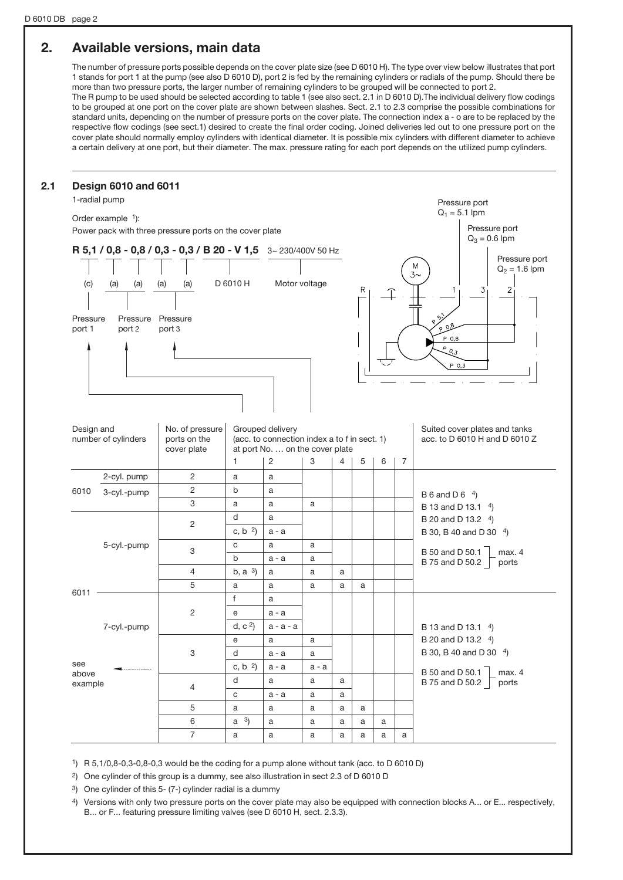# 2. Available versions, main data

The number of pressure ports possible depends on the cover plate size (see D 6010 H). The type over view below illustrates that port 1 stands for port 1 at the pump (see also D 6010 D), port 2 is fed by the remaining cylinders or radials of the pump. Should there be more than two pressure ports, the larger number of remaining cylinders to be grouped will be connected to port 2.

The R pump to be used should be selected according to table 1 (see also sect. 2.1 in D 6010 D).The individual delivery flow codings to be grouped at one port on the cover plate are shown between slashes. Sect. 2.1 to 2.3 comprise the possible combinations for standard units, depending on the number of pressure ports on the cover plate. The connection index a - o are to be replaced by the respective flow codings (see sect.1) desired to create the final order coding. Joined deliveries led out to one pressure port on the cover plate should normally employ cylinders with identical diameter. It is possible mix cylinders with different diameter to achieve a certain delivery at one port, but their diameter. The max. pressure rating for each port depends on the utilized pump cylinders.

|                                                                              | <b>Design 6010 and 6011</b><br>1-radial pump |                                                                |                                            |                                                                                                     |         |   |                 |                                  |                | Pressure port                                                           |
|------------------------------------------------------------------------------|----------------------------------------------|----------------------------------------------------------------|--------------------------------------------|-----------------------------------------------------------------------------------------------------|---------|---|-----------------|----------------------------------|----------------|-------------------------------------------------------------------------|
|                                                                              |                                              |                                                                |                                            |                                                                                                     |         |   | $Q_1 = 5.1$ lpm |                                  |                |                                                                         |
| Order example 1):<br>Power pack with three pressure ports on the cover plate |                                              |                                                                |                                            |                                                                                                     |         |   |                 | Pressure port<br>$Q_3 = 0.6$ lpm |                |                                                                         |
|                                                                              |                                              | R 5,1 / 0,8 - 0,8 / 0,3 - 0,3 / B 20 - V 1,5 3~ 230/400V 50 Hz |                                            |                                                                                                     |         |   |                 |                                  |                |                                                                         |
| (c)                                                                          | (a)<br>(a)                                   | (a)<br>(a)                                                     | D 6010 H                                   | Motor voltage                                                                                       |         |   | R               | 赿                                |                | Pressure port<br>M<br>$Q_2 = 1.6$ lpm<br>$3\sim$<br>$\overline{2}$<br>3 |
| Pressure<br>port 1                                                           | Pressure<br>port 2                           | Pressure<br>port 3                                             |                                            |                                                                                                     |         |   |                 |                                  |                | $\sqrt{5}$<br>$^{\sim}$ 0.8<br>P 0,8<br>$^{6}$ 0.3<br>P 0,3             |
| Design and                                                                   | number of cylinders                          | No. of pressure<br>ports on the<br>cover plate                 |                                            | Grouped delivery<br>(acc. to connection index a to f in sect. 1)<br>at port No.  on the cover plate |         |   |                 |                                  |                | Suited cover plates and tanks<br>acc. to D 6010 H and D 6010 Z          |
|                                                                              |                                              | 2                                                              | $\mathbf{1}$                               | 2                                                                                                   | 3       | 4 | 5               | 6                                | $\overline{7}$ |                                                                         |
|                                                                              | 2-cyl. pump                                  | $\overline{2}$                                                 | a                                          | a                                                                                                   |         |   |                 |                                  |                |                                                                         |
| 6010                                                                         | 3-cyl.-pump                                  | 3                                                              | b<br>a                                     | a<br>a                                                                                              | a       |   |                 |                                  |                | B 6 and D 6 $4$ )                                                       |
|                                                                              |                                              |                                                                | d                                          | a                                                                                                   |         |   |                 |                                  |                | B 13 and D 13.1 4)                                                      |
|                                                                              |                                              | $\overline{c}$                                                 | c, b $^{2}$ )                              | $a - a$                                                                                             |         |   |                 |                                  |                | B 20 and D 13.2 <sup>4</sup> )<br>B 30, B 40 and D 30 4)                |
|                                                                              | 5-cyl.-pump                                  |                                                                | C                                          | a                                                                                                   | a       |   |                 |                                  |                |                                                                         |
|                                                                              |                                              | 3                                                              | $\mathsf{b}$                               | $a - a$                                                                                             | a       |   |                 |                                  |                | B 50 and D 50.1<br>max. 4                                               |
|                                                                              |                                              | 4                                                              | b, a <sup>3</sup>                          | a                                                                                                   | a       | a |                 |                                  |                | B 75 and D 50.2<br>ports                                                |
|                                                                              |                                              | 5                                                              | a                                          | a                                                                                                   | a       | a | a               |                                  |                |                                                                         |
| 6011                                                                         |                                              |                                                                | f                                          | a                                                                                                   |         |   |                 |                                  |                |                                                                         |
|                                                                              |                                              | 2                                                              | e                                          | $a - a$                                                                                             |         |   |                 |                                  |                |                                                                         |
|                                                                              | 7-cyl.-pump                                  |                                                                | d, c <sup>2</sup>                          | a - a - a                                                                                           |         |   |                 |                                  |                | B 13 and D 13.1 4)                                                      |
|                                                                              |                                              |                                                                | $\mathsf{e}% _{t}\left( \mathsf{e}\right)$ | a                                                                                                   | a       |   |                 |                                  |                | B 20 and D 13.2 4)                                                      |
|                                                                              |                                              |                                                                | d                                          | $a - a$                                                                                             | a       |   |                 |                                  |                | B 30, B 40 and D 30 4)                                                  |
|                                                                              |                                              | 3                                                              |                                            |                                                                                                     |         |   |                 |                                  |                |                                                                         |
| see                                                                          |                                              |                                                                | c, b $^{2}$ )                              | a - a                                                                                               | $a - a$ |   |                 |                                  |                |                                                                         |
| above                                                                        |                                              |                                                                | d                                          | a                                                                                                   | a       | a |                 |                                  |                |                                                                         |
| example                                                                      |                                              | 4                                                              | $\mathtt{C}$                               | $a - a$                                                                                             | a       | a |                 |                                  |                | B 50 and D 50.1<br>B 75 and D 50.2<br>ports                             |
|                                                                              |                                              | 5                                                              | a                                          | a                                                                                                   | a       | a | a               |                                  |                |                                                                         |
|                                                                              |                                              | 6                                                              | $a^{3}$                                    | a                                                                                                   | a       | a | a               | a                                |                |                                                                         |

1) R 5,1/0,8-0,3-0,8-0,3 would be the coding for a pump alone without tank (acc. to D 6010 D)

<sup>2</sup>) One cylinder of this group is a dummy, see also illustration in sect 2.3 of D 6010 D

3) One cylinder of this 5- (7-) cylinder radial is a dummy

4) Versions with only two pressure ports on the cover plate may also be equipped with connection blocks A... or E... respectively, B... or F... featuring pressure limiting valves (see D 6010 H, sect. 2.3.3).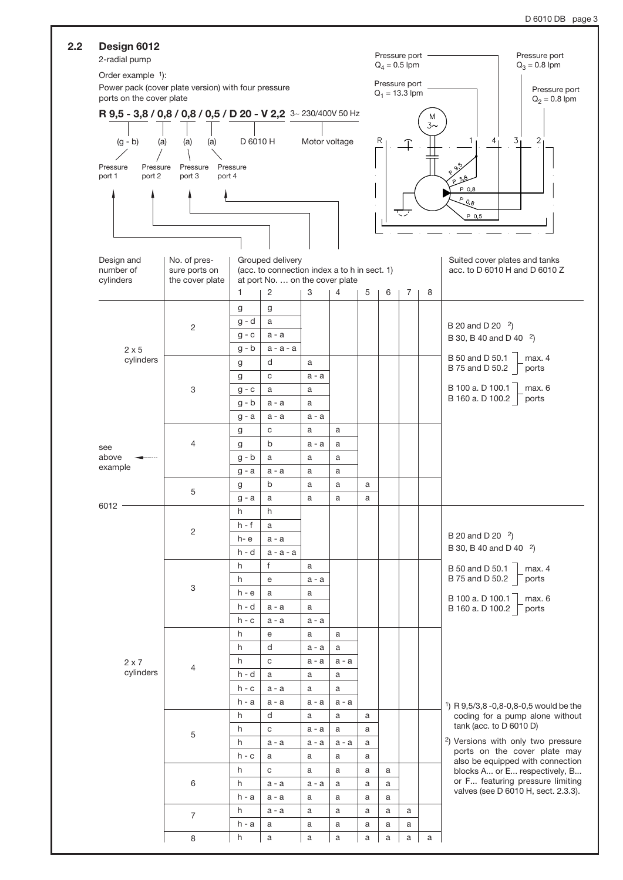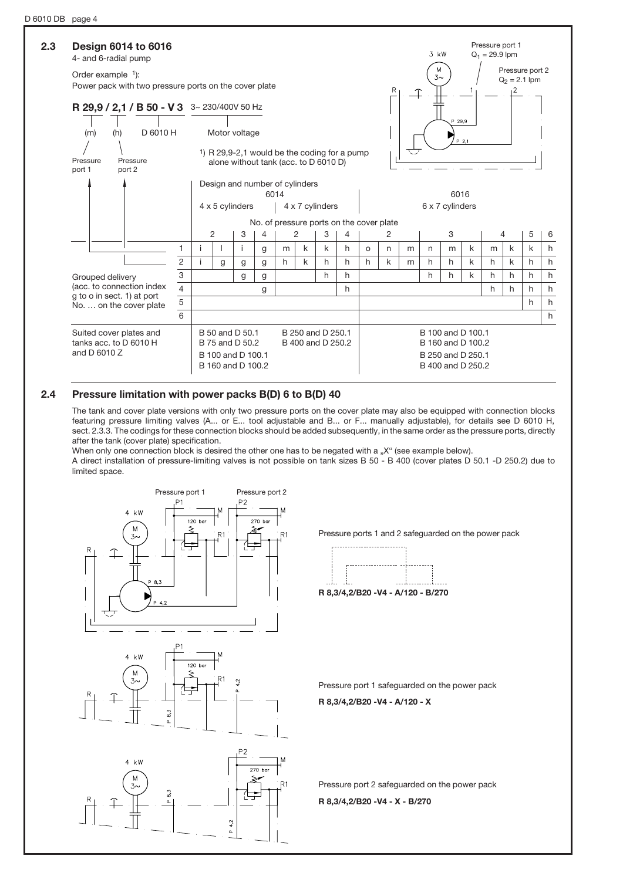

### 2.4 Pressure limitation with power packs B(D) 6 to B(D) 40

The tank and cover plate versions with only two pressure ports on the cover plate may also be equipped with connection blocks featuring pressure limiting valves (A... or E... tool adjustable and B... or F... manually adjustable), for details see D 6010 H, sect. 2.3.3. The codings for these connection blocks should be added subsequently, in the same order as the pressure ports, directly after the tank (cover plate) specification.

When only one connection block is desired the other one has to be negated with a "X" (see example below). A direct installation of pressure-limiting valves is not possible on tank sizes B 50 - B 400 (cover plates D 50.1 -D 250.2) due to limited space.



Pressure ports 1 and 2 safeguarded on the power pack



R 8,3/4,2/B20 -V4 - A/120 - B/270

Pressure port 1 safeguarded on the power pack

R 8,3/4,2/B20 -V4 - A/120 - X

Pressure port 2 safeguarded on the power pack

R 8,3/4,2/B20 -V4 - X - B/270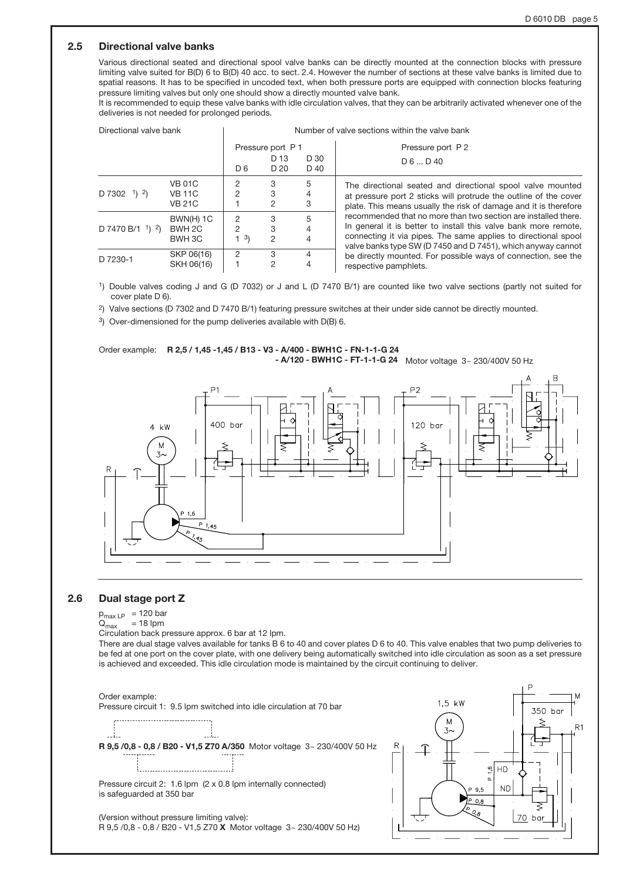### 2.5 Directional valve banks

Various directional seated and directional spool valve banks can be directly mounted at the connection blocks with pressure limiting valve suited for B(D) 6 to B(D) 40 acc. to sect. 2.4. However the number of sections at these valve banks is limited due to spatial reasons. It has to be specified in uncoded text, when both pressure ports are equipped with connection blocks featuring pressure limiting valves but only one should show a directly mounted valve bank.

It is recommended to equip these valve banks with idle circulation valves, that they can be arbitrarily activated whenever one of the deliveries is not needed for prolonged periods.

| Directional valve bank |                                                 | Number of valve sections within the valve bank |                   |              |                                                                                                                                                                                                                                                                     |  |  |  |  |
|------------------------|-------------------------------------------------|------------------------------------------------|-------------------|--------------|---------------------------------------------------------------------------------------------------------------------------------------------------------------------------------------------------------------------------------------------------------------------|--|--|--|--|
|                        |                                                 |                                                | Pressure port P 1 |              | Pressure port P2                                                                                                                                                                                                                                                    |  |  |  |  |
|                        |                                                 | D <sub>6</sub>                                 | D 13<br>D 20      | D 30<br>D 40 | $D_6 \dots D_40$                                                                                                                                                                                                                                                    |  |  |  |  |
| $D 7302 \t 1) 2$       | <b>VB 01C</b><br><b>VB 11C</b><br><b>VB 21C</b> | 2<br>2                                         | 3<br>3<br>2       | 5<br>3       | The directional seated and directional spool valve mounted<br>at pressure port 2 sticks will protrude the outline of the cover<br>plate. This means usually the risk of damage and it is therefore                                                                  |  |  |  |  |
| D 7470 B/1 $1$ ) $2$ ) | BWN(H) 1C<br>BWH 2C<br>BWH 3C                   | 2<br>2<br>3)                                   | 3<br>3<br>2       | 5<br>4       | recommended that no more than two section are installed there.<br>In general it is better to install this valve bank more remote,<br>connecting it via pipes. The same applies to directional spool<br>valve banks type SW (D 7450 and D 7451), which anyway cannot |  |  |  |  |
| D 7230-1               | SKP 06(16)<br>SKH 06(16)                        | 2                                              | З<br>2            | 4            | be directly mounted. For possible ways of connection, see the<br>respective pamphlets.                                                                                                                                                                              |  |  |  |  |

1) Double valves coding J and G (D 7032) or J and L (D 7470 B/1) are counted like two valve sections (partly not suited for cover plate D 6).

2) Valve sections (D 7302 and D 7470 B/1) featuring pressure switches at their under side cannot be directly mounted.

3) Over-dimensioned for the pump deliveries available with D(B) 6.





### 2.6 Dual stage port Z

 $p_{\text{max LP}}$  = 120 bar<br> $Q_{\text{max}}$  = 18 lpm

 $= 18$  lpm

Circulation back pressure approx. 6 bar at 12 lpm.

There are dual stage valves available for tanks B 6 to 40 and cover plates D 6 to 40. This valve enables that two pump deliveries to be fed at one port on the cover plate, with one delivery being automatically switched into idle circulation as soon as a set pressure is achieved and exceeded. This idle circulation mode is maintained by the circuit continuing to deliver.





Pressure circuit 2: 1.6 lpm (2 x 0.8 lpm internally connected) is safeguarded at 350 bar

(Version without pressure limiting valve): R 9,5 /0,8 - 0,8 / B20 - V1,5 Z70 X Motor voltage 3~ 230/400V 50 Hz)

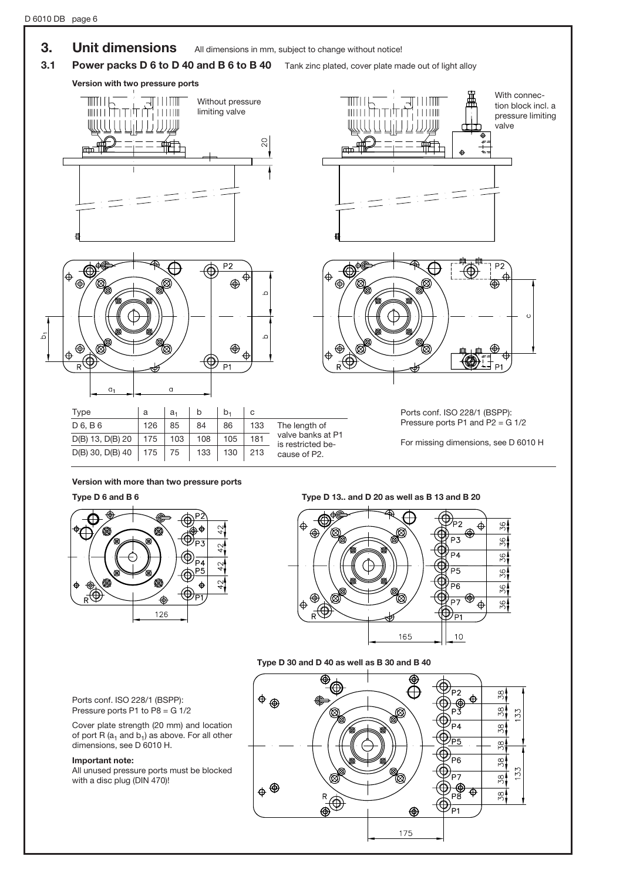



### Type D 6 and B 6 Type D 13.. and D 20 as well as B 13 and B 20



### Type D 30 and D 40 as well as B 30 and B 40



Ports conf. ISO 228/1 (BSPP): Pressure ports P1 to  $\overline{P8} = \overline{G} \overline{1/2}$ 

Cover plate strength (20 mm) and location of port R  $(a_1$  and  $b_1)$  as above. For all other dimensions, see D 6010 H.

### Important note:

All unused pressure ports must be blocked with a disc plug (DIN 470)!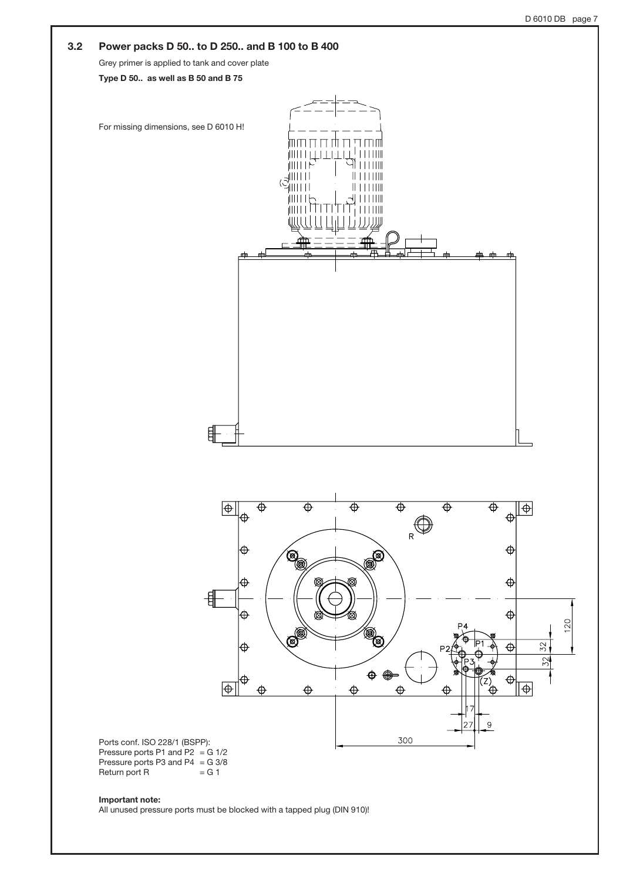

All unused pressure ports must be blocked with a tapped plug (DIN 910)!